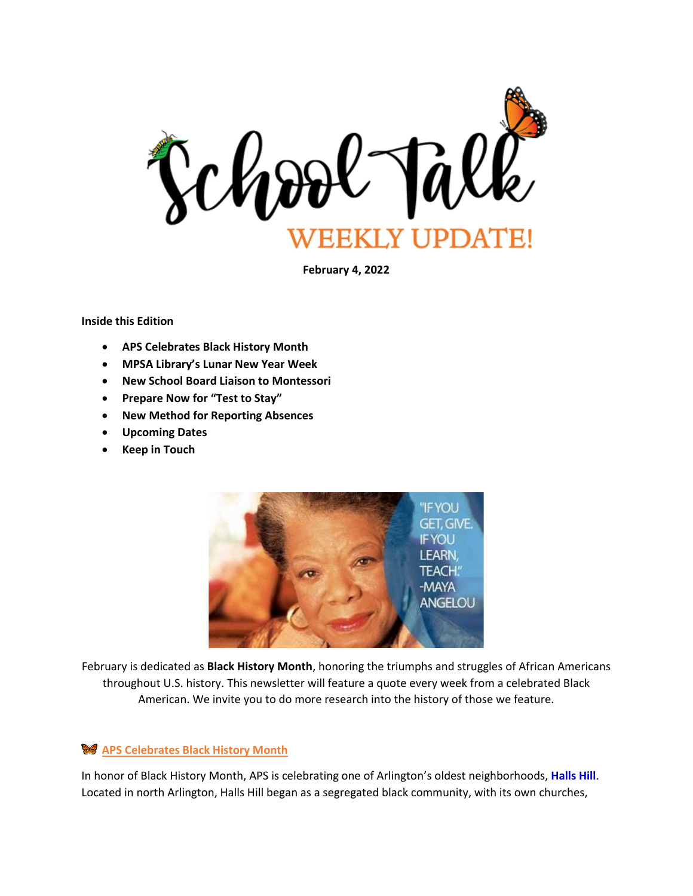

**February 4, 2022**

**Inside this Edition**

- **APS Celebrates Black History Month**
- **MPSA Library's Lunar New Year Week**
- **New School Board Liaison to Montessori**
- **Prepare Now for "Test to Stay"**
- **New Method for Reporting Absences**
- **Upcoming Dates**
- **Keep in Touch**



February is dedicated as **Black History Month**, honoring the triumphs and struggles of African Americans throughout U.S. history. This newsletter will feature a quote every week from a celebrated Black American. We invite you to do more research into the history of those we feature.

# **APS Celebrates Black History Month**

In honor of Black History Month, APS is celebrating one of Arlington's oldest neighborhoods, **Halls Hill**. Located in north Arlington, Halls Hill began as a segregated black community, with its own churches,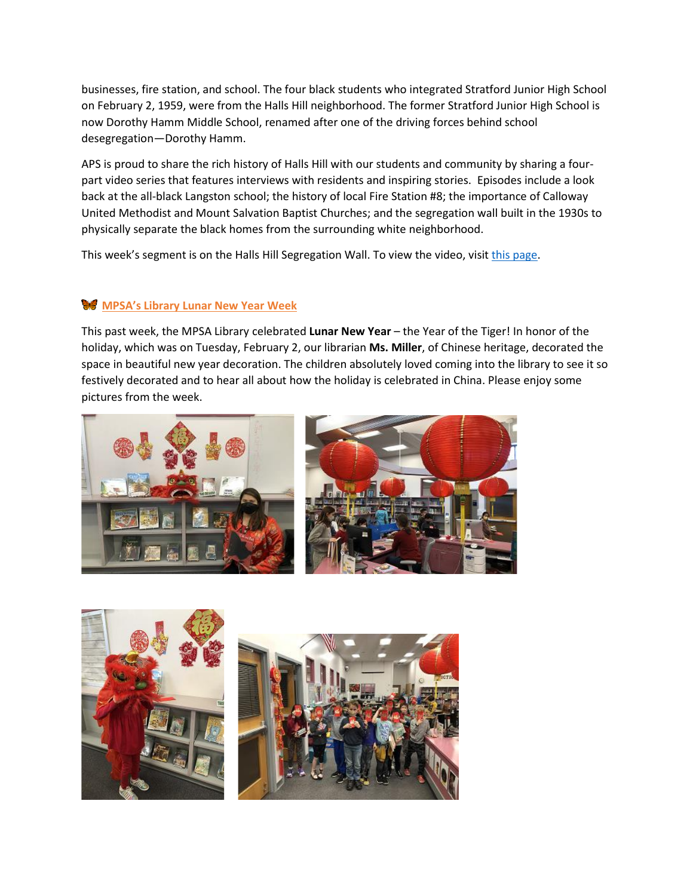businesses, fire station, and school. The four black students who integrated Stratford Junior High School on February 2, 1959, were from the Halls Hill neighborhood. The former Stratford Junior High School is now Dorothy Hamm Middle School, renamed after one of the driving forces behind school desegregation—Dorothy Hamm.

APS is proud to share the rich history of Halls Hill with our students and community by sharing a fourpart video series that features interviews with residents and inspiring stories. Episodes include a look back at the all-black Langston school; the history of local Fire Station #8; the importance of Calloway United Methodist and Mount Salvation Baptist Churches; and the segregation wall built in the 1930s to physically separate the black homes from the surrounding white neighborhood.

This week's segment is on the Halls Hill Segregation Wall. To view the video, visi[t this page.](https://www.apsva.us/black-history-month/)

## **MPSA's Library Lunar New Year Week**

This past week, the MPSA Library celebrated **Lunar New Year** – the Year of the Tiger! In honor of the holiday, which was on Tuesday, February 2, our librarian **Ms. Miller**, of Chinese heritage, decorated the space in beautiful new year decoration. The children absolutely loved coming into the library to see it so festively decorated and to hear all about how the holiday is celebrated in China. Please enjoy some pictures from the week.



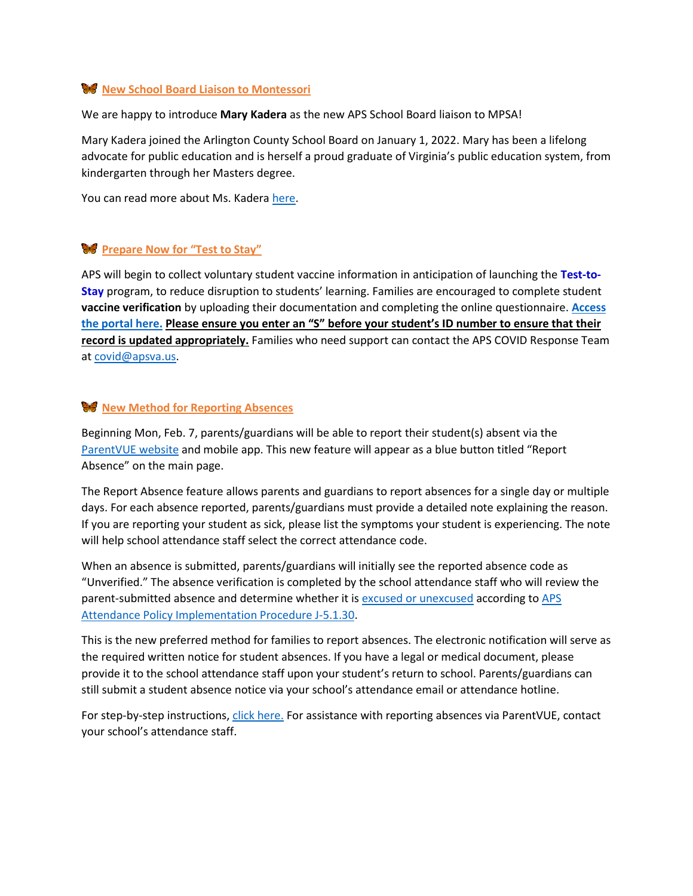#### **W** New School Board Liaison to Montessori

We are happy to introduce **Mary Kadera** as the new APS School Board liaison to MPSA!

Mary Kadera joined the Arlington County School Board on January 1, 2022. Mary has been a lifelong advocate for public education and is herself a proud graduate of Virginia's public education system, from kindergarten through her Masters degree.

You can read more about Ms. Kadera [here.](https://www.apsva.us/school-board-members/mary-kadera/)

#### **Prepare Now for "Test to Stay"**

APS will begin to collect voluntary student vaccine information in anticipation of launching the **Test-to-Stay** program, to reduce disruption to students' learning. Families are encouraged to complete student **vaccine verification** by uploading their documentation and completing the online questionnaire. **[Access](https://apsva.iad1.qualtrics.com/jfe/form/SV_9KMZQzvMK61iJ4G)  [the portal here.](https://apsva.iad1.qualtrics.com/jfe/form/SV_9KMZQzvMK61iJ4G) Please ensure you enter an "S" before your student's ID number to ensure that their record is updated appropriately.** Families who need support can contact the APS COVID Response Team a[t covid@apsva.us.](mailto:covid@apsva.us)

#### **New Method for Reporting Absences**

Beginning Mon, Feb. 7, parents/guardians will be able to report their student(s) absent via the [ParentVUE website](https://www.apsva.us/family-access-center/) and mobile app. This new feature will appear as a blue button titled "Report Absence" on the main page.

The Report Absence feature allows parents and guardians to report absences for a single day or multiple days. For each absence reported, parents/guardians must provide a detailed note explaining the reason. If you are reporting your student as sick, please list the symptoms your student is experiencing. The note will help school attendance staff select the correct attendance code.

When an absence is submitted, parents/guardians will initially see the reported absence code as "Unverified." The absence verification is completed by the school attendance staff who will review the parent-submitted absence and determine whether it i[s excused or unexcused](https://www.apsva.us/attendance/absences/) according t[o APS](https://go.boarddocs.com/vsba/arlington/Board.nsf/files/AZQJ6Q4B9B3D/$file/J-5.1.30%20PIP-1%20Attendance.pdf)  [Attendance Policy Implementation Procedure J-5.1.30.](https://go.boarddocs.com/vsba/arlington/Board.nsf/files/AZQJ6Q4B9B3D/$file/J-5.1.30%20PIP-1%20Attendance.pdf)

This is the new preferred method for families to report absences. The electronic notification will serve as the required written notice for student absences. If you have a legal or medical document, please provide it to the school attendance staff upon your student's return to school. Parents/guardians can still submit a student absence notice via your school's attendance email or attendance hotline.

For step-by-step instructions[, click here.](https://www.apsva.us/wp-content/uploads/2022/02/ParentVue_Report_Absences-English-Final.pdf) For assistance with reporting absences via ParentVUE, contact your school's attendance staff.